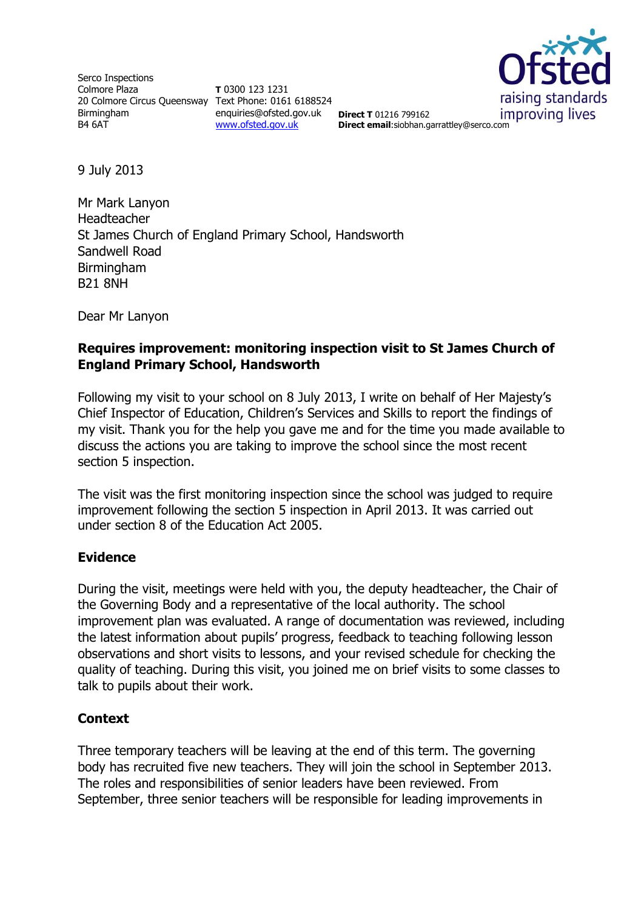Serco Inspections Colmore Plaza 20 Colmore Circus Queensway Text Phone: 0161 6188524 Birmingham B4 6AT

**T** 0300 123 1231 enquiries@ofsted.gov.uk [www.ofsted.gov.uk](http://www.ofsted.gov.uk/)



**Direct T** 01216 799162 **Direct email**:siobhan.garrattley@serco.com

9 July 2013

Mr Mark Lanyon Headteacher St James Church of England Primary School, Handsworth Sandwell Road Birmingham B21 8NH

Dear Mr Lanyon

### **Requires improvement: monitoring inspection visit to St James Church of England Primary School, Handsworth**

Following my visit to your school on 8 July 2013, I write on behalf of Her Majesty's Chief Inspector of Education, Children's Services and Skills to report the findings of my visit. Thank you for the help you gave me and for the time you made available to discuss the actions you are taking to improve the school since the most recent section 5 inspection.

The visit was the first monitoring inspection since the school was judged to require improvement following the section 5 inspection in April 2013. It was carried out under section 8 of the Education Act 2005.

### **Evidence**

During the visit, meetings were held with you, the deputy headteacher, the Chair of the Governing Body and a representative of the local authority. The school improvement plan was evaluated. A range of documentation was reviewed, including the latest information about pupils' progress, feedback to teaching following lesson observations and short visits to lessons, and your revised schedule for checking the quality of teaching. During this visit, you joined me on brief visits to some classes to talk to pupils about their work.

## **Context**

Three temporary teachers will be leaving at the end of this term. The governing body has recruited five new teachers. They will join the school in September 2013. The roles and responsibilities of senior leaders have been reviewed. From September, three senior teachers will be responsible for leading improvements in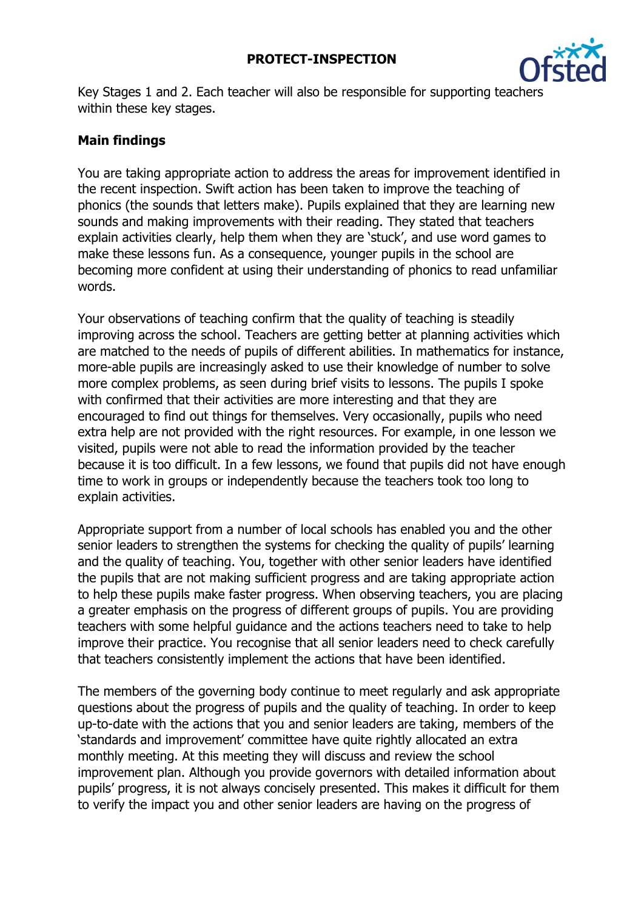

Key Stages 1 and 2. Each teacher will also be responsible for supporting teachers within these key stages.

# **Main findings**

You are taking appropriate action to address the areas for improvement identified in the recent inspection. Swift action has been taken to improve the teaching of phonics (the sounds that letters make). Pupils explained that they are learning new sounds and making improvements with their reading. They stated that teachers explain activities clearly, help them when they are 'stuck', and use word games to make these lessons fun. As a consequence, younger pupils in the school are becoming more confident at using their understanding of phonics to read unfamiliar words.

Your observations of teaching confirm that the quality of teaching is steadily improving across the school. Teachers are getting better at planning activities which are matched to the needs of pupils of different abilities. In mathematics for instance, more-able pupils are increasingly asked to use their knowledge of number to solve more complex problems, as seen during brief visits to lessons. The pupils I spoke with confirmed that their activities are more interesting and that they are encouraged to find out things for themselves. Very occasionally, pupils who need extra help are not provided with the right resources. For example, in one lesson we visited, pupils were not able to read the information provided by the teacher because it is too difficult. In a few lessons, we found that pupils did not have enough time to work in groups or independently because the teachers took too long to explain activities.

Appropriate support from a number of local schools has enabled you and the other senior leaders to strengthen the systems for checking the quality of pupils' learning and the quality of teaching. You, together with other senior leaders have identified the pupils that are not making sufficient progress and are taking appropriate action to help these pupils make faster progress. When observing teachers, you are placing a greater emphasis on the progress of different groups of pupils. You are providing teachers with some helpful guidance and the actions teachers need to take to help improve their practice. You recognise that all senior leaders need to check carefully that teachers consistently implement the actions that have been identified.

The members of the governing body continue to meet regularly and ask appropriate questions about the progress of pupils and the quality of teaching. In order to keep up-to-date with the actions that you and senior leaders are taking, members of the 'standards and improvement' committee have quite rightly allocated an extra monthly meeting. At this meeting they will discuss and review the school improvement plan. Although you provide governors with detailed information about pupils' progress, it is not always concisely presented. This makes it difficult for them to verify the impact you and other senior leaders are having on the progress of